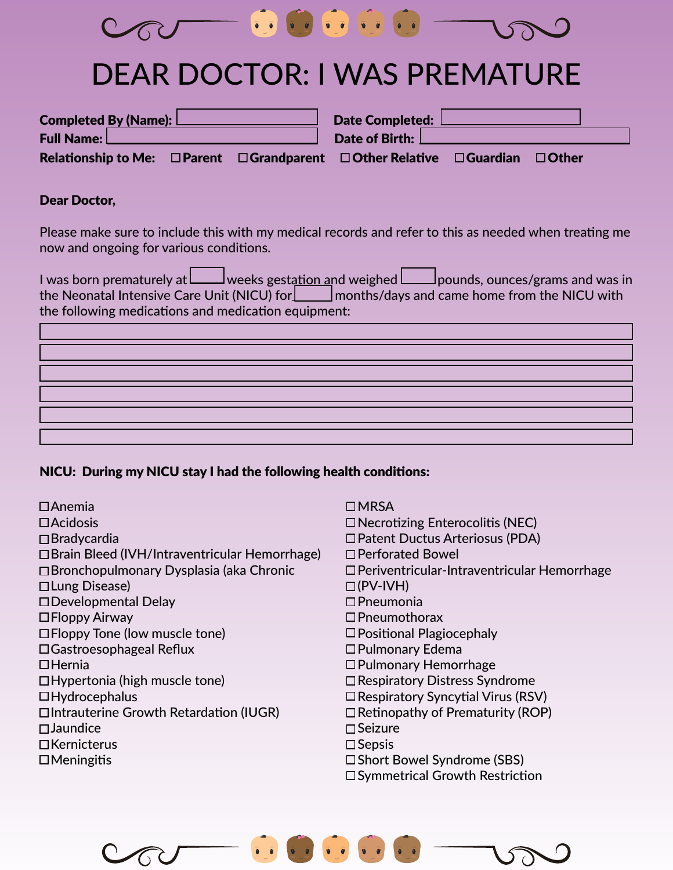

# DEAR DOCTOR: I WAS PREMATURE

|                                                                                            |  | Date Completed:  |              |  |
|--------------------------------------------------------------------------------------------|--|------------------|--------------|--|
| <b>Full Name:</b> L                                                                        |  | Date of Birth: L |              |  |
| Relationship to Me: $\Box$ Parent $\Box$ Grandparent $\Box$ Other Relative $\Box$ Guardian |  |                  | $\Box$ Other |  |

#### Dear Doctor,

Please make sure to include this with my medical records and refer to this as needed when treating me now and ongoing for various conditions.

I was born prematurely at  $\Box$  weeks gestation and weighed  $\Box$  pounds, ounces/grams and was in the Neonatal Intensive Care Unit (NICU) for  $\Box$  months/days and came home from the NICU with the following medications and medication equipment:

### NICU: During my NICU stay I had the following health conditions:

| $\Box$ Anemia<br>$\Box$ Acidosis<br>$\Box$ Bradycardia<br>□ Brain Bleed (IVH/Intraventricular Hemorrhage)<br>□ Bronchopulmonary Dysplasia (aka Chronic<br>□ Lung Disease)<br>$\Box$ Developmental Delay<br>$\Box$ Floppy Airway<br>$\Box$ Floppy Tone (low muscle tone)<br>$\Box$ Gastroesophageal Reflux<br>$\Box$ Hernia<br>$\Box$ Hypertonia (high muscle tone)<br>$\Box$ Hydrocephalus<br>□Intrauterine Growth Retardation (IUGR)<br>$\square$ Jaundice<br>$\Box$ Kernicterus | LMRSA<br>$\Box$ Necrotizing Enterocolitis (NEC)<br>□ Patent Ductus Arteriosus (PDA)<br>□ Perforated Bowel<br>□ Periventricular-Intraventricular Hemorrhage<br>$\Box$ (PV-IVH)<br>$\square$ Pneumonia<br>$\Box$ Pneumothorax<br>$\Box$ Positional Plagiocephaly<br>□ Pulmonary Edema<br>$\Box$ Pulmonary Hemorrhage<br>□ Respiratory Distress Syndrome<br>$\square$ Respiratory Syncytial Virus (RSV)<br>$\Box$ Retinopathy of Prematurity (ROP)<br>$\Box$ Seizure<br>$\square$ Sepsis |
|-----------------------------------------------------------------------------------------------------------------------------------------------------------------------------------------------------------------------------------------------------------------------------------------------------------------------------------------------------------------------------------------------------------------------------------------------------------------------------------|---------------------------------------------------------------------------------------------------------------------------------------------------------------------------------------------------------------------------------------------------------------------------------------------------------------------------------------------------------------------------------------------------------------------------------------------------------------------------------------|
| $\Box$ Meningitis                                                                                                                                                                                                                                                                                                                                                                                                                                                                 | □ Short Bowel Syndrome (SBS)                                                                                                                                                                                                                                                                                                                                                                                                                                                          |
|                                                                                                                                                                                                                                                                                                                                                                                                                                                                                   | □ Symmetrical Growth Restriction                                                                                                                                                                                                                                                                                                                                                                                                                                                      |